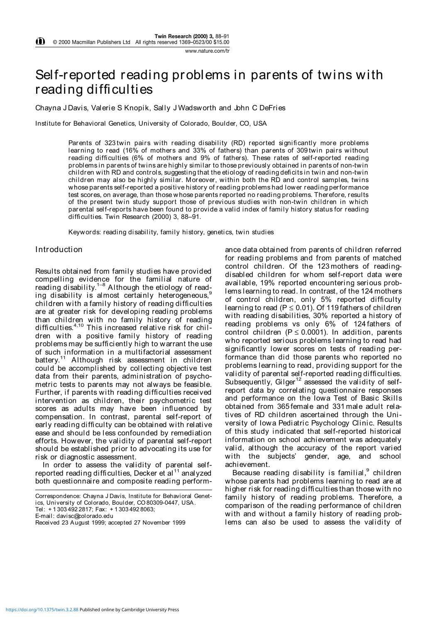# Self-reported reading problems in parents of twins with reading difficulties

Chayna J Davis, Valerie S Knopik, Sally J Wadsworth and John C DeFries

Institute for Behavioral Genetics, University of Colorado, Boulder, CO, USA

Parents of 323 twin pairs with reading disability (RD) reported significantly more problems learning to read (16% of mothers and 33% of fathers) than parents of 309 twin pairs without reading difficulties (6% of mothers and 9% of fathers). These rates of self-reported reading problems in parents of twins are highly similar to those previously obtained in parents of non-twin children with RD and controls, suggesting that the etiology of reading deficits in twin and non-twin children may also be highly similar. Moreover, within both the RD and control samples, twins whose parents self-reported a positive history of reading problems had lower reading performance test scores, on average, than those whose parents reported no reading problems. Therefore, results of the present twin study support those of previous studies with non-twin children in which parental self-reports have been found to provide a valid index of family history status for reading difficulties. Twin Research (2000) 3, 88-91.

Keywords: reading disability, family history, genetics, twin studies

#### Introduction

Results obtained from family studies have provided compelling evidence for the familial nature of reading disability.1–8 Although the etiology of reading disability is almost certainly heterogeneous,<sup>9</sup> children with a family history of reading difficulties are at greater risk for developing reading problems than children with no family history of reading difficulties.4,10 This increased relative risk for children with a positive family history of reading problems may be sufficiently high to warrant the use of such information in a multifactorial assessment battery.11 Although risk assessment in children could be accomplished by collecting objective test data from their parents, administration of psychometric tests to parents may not always be feasible. Further, if parents with reading difficulties received intervention as children, their psychometric test scores as adults may have been influenced by compensation. In contrast, parental self-report of early reading difficulty can be obtained with relative ease and should be less confounded by remediation efforts. However, the validity of parental self-report should be established prior to advocating its use for risk or diagnostic assessment.

In order to assess the validity of parental selfreported reading difficulties, Decker et al<sup>11</sup> analyzed both questionnaire and composite reading perform-

Correspondence: Chayna J Davis, Institute for Behavioral Genetics, University of Colorado, Boulder, CO 80309-0447, USA.

Tel: + 1 303 492 2817; Fax: + 1 303 492 8063;

ance data obtained from parents of children referred for reading problems and from parents of matched control children. Of the 123 mothers of readingdisabled children for whom self-report data were available, 19% reported encountering serious problems learning to read. In contrast, of the 124 mothers of control children, only 5% reported difficulty learning to read ( $P \le 0.01$ ). Of 119 fathers of children with reading disabilities, 30% reported a history of reading problems vs only 6% of 124 fathers of control children ( $P \le 0.0001$ ). In addition, parents who reported serious problems learning to read had significantly lower scores on tests of reading performance than did those parents who reported no problems learning to read, providing support for the validity of parental self-reported reading difficulties. Subsequently, Gilger<sup>12</sup> assessed the validity of selfreport data by correlating questionnaire responses and performance on the Iowa Test of Basic Skills obtained from 365 female and 331 male adult relatives of RD children ascertained through the University of Iowa Pediatric Psychology Clinic. Results of this study indicated that self-reported historical information on school achievement was adequately valid, although the accuracy of the report varied with the subjects' gender, age, and school achievement.

Because reading disability is familial, $9$  children whose parents had problems learning to read are at higher risk for reading difficulties than those with no family history of reading problems. Therefore, a comparison of the reading performance of children with and without a family history of reading problems can also be used to assess the validity of

E-mail: davisc@colorado.edu

Received 23 August 1999; accepted 27 November 1999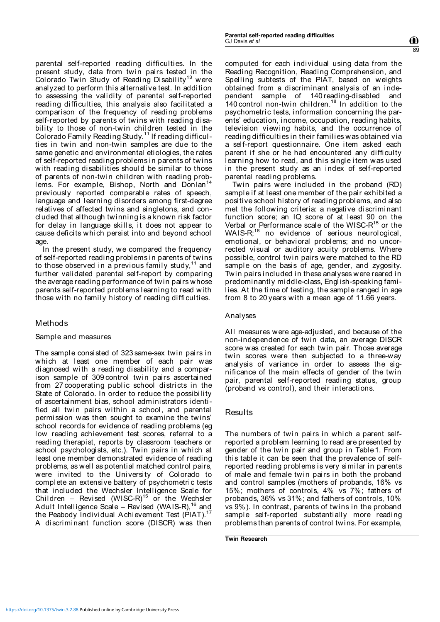parental self-reported reading difficulties. In the present study, data from twin pairs tested in the Colorado Twin Study of Reading Disability<sup>13</sup> were analyzed to perform this alternative test. In addition to assessing the validity of parental self-reported reading difficulties, this analysis also facilitated a comparison of the frequency of reading problems self-reported by parents of twins with reading disability to those of non-twin children tested in the Colorado Family Reading Study.<sup>11</sup> If reading difficulties in twin and non-twin samples are due to the same genetic and environmental etiologies, the rates of self-reported reading problems in parents of twins with reading disabilities should be similar to those of parents of non-twin children with reading problems. For example, Bishop, North and Donlan<sup>14</sup> previously reported comparable rates of speech, language and learning disorders among first-degree relatives of affected twins and singletons, and concluded that although twinning is a known risk factor for delay in language skills, it does not appear to cause deficits which persist into and beyond school age.

In the present study, we compared the frequency of self-reported reading problems in parents of twins to those observed in a previous family study, $11$  and further validated parental self-report by comparing the average reading performance of twin pairs whose parents self-reported problems learning to read with those with no family history of reading difficulties.

# Methods

# Sample and measures

The sample consisted of 323 same-sex twin pairs in which at least one member of each pair was diagnosed with a reading disability and a comparison sample of 309 control twin pairs ascertained from 27 cooperating public school districts in the State of Colorado. In order to reduce the possibility of ascertainment bias, school administrators identified all twin pairs within a school, and parental permission was then sought to examine the twins' school records for evidence of reading problems (eg low reading achievement test scores, referral to a reading therapist, reports by classroom teachers or school psychologists, etc.). Twin pairs in which at least one member demonstrated evidence of reading problems, as well as potential matched control pairs, were invited to the University of Colorado to complete an extensive battery of psychometric tests that included the Wechsler Intelligence Scale for Children – Revised (WISC-R)<sup>15</sup> or the Wechsler Adult Intelligence Scale – Revised (WAIS-R),<sup>16</sup> and the Peabody Individual Achievement Test  $(PIAT)^1$ A discriminant function score (DISCR) was then computed for each individual using data from the Reading Recognition, Reading Comprehension, and Spelling subtests of the PIAT, based on weights obtained from a discriminant analysis of an independent sample of 140 reading-disabled and 140 control non-twin children.<sup>18</sup> In addition to the psychometric tests, information concerning the parents' education, income, occupation, reading habits, television viewing habits, and the occurrence of reading difficulties in their families was obtained via a self-report questionnaire. One item asked each parent if she or he had encountered any difficulty learning how to read, and this single item was used in the present study as an index of self-reported parental reading problems.

Twin pairs were included in the proband (RD) sample if at least one member of the pair exhibited a positive school history of reading problems, and also met the following criteria: a negative discriminant function score; an IQ score of at least 90 on the Verbal or Performance scale of the WISC- $R^{15}$  or the WAIS-R;<sup>16</sup> no evidence of serious neurological, emotional, or behavioral problems; and no uncorrected visual or auditory acuity problems. Where possible, control twin pairs were matched to the RD sample on the basis of age, gender, and zygosity. Twin pairs included in these analyses were reared in predominantly middle-class, English-speaking families. At the time of testing, the sample ranged in age from 8 to 20 years with a mean age of 11.66 years.

# Analyses

All measures were age-adjusted, and because of the non-independence of twin data, an average DISCR score was created for each twin pair. Those average twin scores were then subjected to a three-way analysis of variance in order to assess the significance of the main effects of gender of the twin pair, parental self-reported reading status, group (proband vs control), and their interactions.

# Results

The numbers of twin pairs in which a parent selfreported a problem learning to read are presented by gender of the twin pair and group in Table1. From this table it can be seen that the prevalence of selfreported reading problems is very similar in parents of male and female twin pairs in both the proband and control samples (mothers of probands, 16% vs 15%; mothers of controls, 4% vs 7%; fathers of probands, 36% vs 31%; and fathers of controls, 10% vs 9%). In contrast, parents of twins in the proband sample self-reported substantially more reading problems than parents of control twins. For example,

**Twin Research**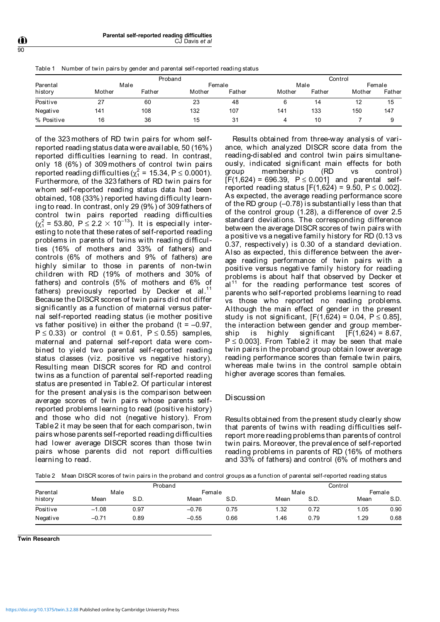Table 1 Number of twin pairs by gender and parental self-reported reading status

| Parental<br>history | Proband |        |        |        | Control |        |        |        |
|---------------------|---------|--------|--------|--------|---------|--------|--------|--------|
|                     | Male    |        | Female |        | Male    |        | Female |        |
|                     | Mother  | Father | Mother | Father | Mother  | Father | Mother | Father |
| Positive            | 27      | 60     | 23     | 48     |         | 14     | 12     | 15     |
| Negative            | 141     | 108    | 132    | 107    | 141     | 133    | 150    | 147    |
| % Positive          | 16      | 36     | 15     | 31     | 4       | 10     |        |        |

of the 323 mothers of RD twin pairs for whom selfreported reading status data were available, 50 (16%) reported difficulties learning to read. In contrast, only 18 (6%) of 309 mothers of control twin pairs reported reading difficulties ( $\chi^2$  = 15.34, P  $\leq$  0.0001). Furthermore, of the 323 fathers of RD twin pairs for whom self-reported reading status data had been obtained, 108 (33%) reported having difficulty learning to read. In contrast, only 29 (9%) of 309 fathers of control twin pairs reported reading difficulties  $(\chi^2_1 = 53.80, \ P \le 2.2 \times 10^{-13})$ . It is especially interesting to note that these rates of self-reported reading problems in parents of twins with reading difficulties (16% of mothers and 33% of fathers) and controls (6% of mothers and 9% of fathers) are highly similar to those in parents of non-twin children with RD (19% of mothers and 30% of fathers) and controls (5% of mothers and 6% of fathers) previously reported by Decker et al.<sup>11</sup> Because the DISCR scores of twin pairs did not differ significantly as a function of maternal versus paternal self-reported reading status (ie mother positive vs father positive) in either the proband (t =  $-0.97$ ,  $P \le 0.33$ ) or control (t = 0.61,  $P \le 0.55$ ) samples, maternal and paternal self-report data were combined to yield two parental self-reported reading status classes (viz. positive vs negative history). Resulting mean DISCR scores for RD and control twins as a function of parental self-reported reading status are presented in Table2. Of particular interest for the present analysis is the comparison between average scores of twin pairs whose parents selfreported problems learning to read (positive history) and those who did not (negative history). From Table2 it may be seen that for each comparison, twin pairs whose parents self-reported reading difficulties had lower average DISCR scores than those twin pairs whose parents did not report difficulties learning to read.

Results obtained from three-way analysis of variance, which analyzed DISCR score data from the reading-disabled and control twin pairs simultaneously, indicated significant main effects for both group membership (RD vs control)  $[F(1,624) = 696.39, P \le 0.001]$  and parental selfreported reading status  $[F(1,624) = 9.50, P \le 0.002]$ . As expected, the average reading performance score of the RD group (–0.78) is substantially less than that of the control group (1.28), a difference of over 2.5 standard deviations. The corresponding difference between the average DISCR scores of twin pairs with a positive vs a negative family history for RD (0.13 vs 0.37, respectively) is 0.30 of a standard deviation. Also as expected, this difference between the average reading performance of twin pairs with a positive versus negative family history for reading problems is about half that observed by Decker et  $al<sup>11</sup>$  for the reading performance test scores of parents who self-reported problems learning to read vs those who reported no reading problems. Although the main effect of gender in the present study is not significant,  $[F(1,624) = 0.04, P \le 0.85]$ , the interaction between gender and group membership is highly significant  $[F(1,624) = 8.67,$  $P \le 0.003$ . From Table2 it may be seen that male twin pairs in the proband group obtain lower average reading performance scores than female twin pairs, whereas male twins in the control sample obtain higher average scores than females.

#### Discussion

Results obtained from the present study clearly show that parents of twins with reading difficulties selfreport more reading problems than parents of control twin pairs. Moreover, the prevalence of self-reported reading problems in parents of RD (16% of mothers and 33% of fathers) and control (6% of mothers and

Table 2 Mean DISCR scores of twin pairs in the proband and control groups as a function of parental self-reported reading status

|          | Proband |      |         |      | Control |      |        |      |
|----------|---------|------|---------|------|---------|------|--------|------|
| Parental | Male    |      | Female  |      | Male    |      | Female |      |
| history  | Mean    | S.D. | Mean    | S.D. | Mean    | S.D. | Mean   | S.D  |
| Positive | $-1.08$ | 0.97 | $-0.76$ | 0.75 | 1.32    | 0.72 | 1.05   | 0.90 |
| Negative | $-0.71$ | 0.89 | $-0.55$ | 0.66 | 1.46    | 0.79 | 1.29   | 0.68 |

**Twin Research**